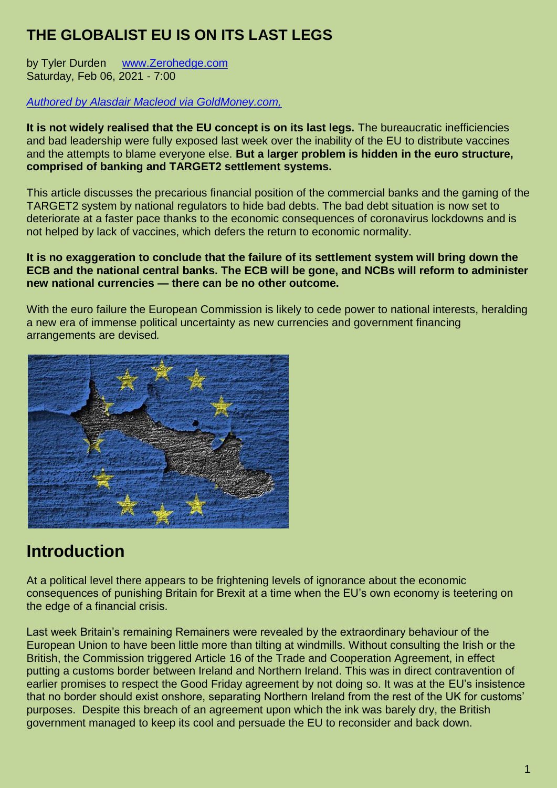#### **THE GLOBALIST EU IS ON ITS LAST LEGS**

by Tyler Durden [www.Zerohedge.com](http://www.zerohedge.com/) Saturday, Feb 06, 2021 - 7:00

#### *[Authored by Alasdair Macleod via GoldMoney.com,](https://www.goldmoney.com/research/the-rapidly-failing-eu)*

**It is not widely realised that the EU concept is on its last legs.** The bureaucratic inefficiencies and bad leadership were fully exposed last week over the inability of the EU to distribute vaccines and the attempts to blame everyone else. **But a larger problem is hidden in the euro structure, comprised of banking and TARGET2 settlement systems.**

This article discusses the precarious financial position of the commercial banks and the gaming of the TARGET2 system by national regulators to hide bad debts. The bad debt situation is now set to deteriorate at a faster pace thanks to the economic consequences of coronavirus lockdowns and is not helped by lack of vaccines, which defers the return to economic normality.

#### **It is no exaggeration to conclude that the failure of its settlement system will bring down the ECB and the national central banks. The ECB will be gone, and NCBs will reform to administer new national currencies — there can be no other outcome.**

With the euro failure the European Commission is likely to cede power to national interests, heralding a new era of immense political uncertainty as new currencies and government financing arrangements are devised*.*



## **Introduction**

At a political level there appears to be frightening levels of ignorance about the economic consequences of punishing Britain for Brexit at a time when the EU's own economy is teetering on the edge of a financial crisis.

Last week Britain's remaining Remainers were revealed by the extraordinary behaviour of the European Union to have been little more than tilting at windmills. Without consulting the Irish or the British, the Commission triggered Article 16 of the Trade and Cooperation Agreement, in effect putting a customs border between Ireland and Northern Ireland. This was in direct contravention of earlier promises to respect the Good Friday agreement by not doing so. It was at the EU's insistence that no border should exist onshore, separating Northern Ireland from the rest of the UK for customs' purposes. Despite this breach of an agreement upon which the ink was barely dry, the British government managed to keep its cool and persuade the EU to reconsider and back down.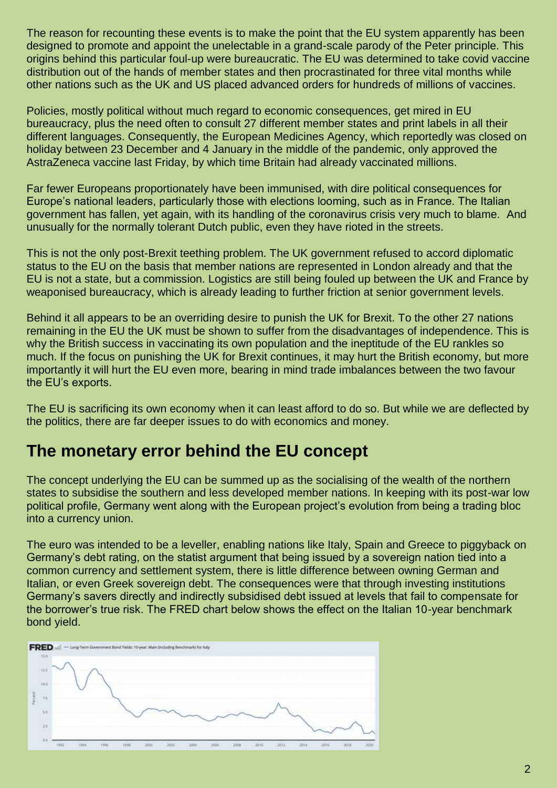The reason for recounting these events is to make the point that the EU system apparently has been designed to promote and appoint the unelectable in a grand-scale parody of the Peter principle. This origins behind this particular foul-up were bureaucratic. The EU was determined to take covid vaccine distribution out of the hands of member states and then procrastinated for three vital months while other nations such as the UK and US placed advanced orders for hundreds of millions of vaccines.

Policies, mostly political without much regard to economic consequences, get mired in EU bureaucracy, plus the need often to consult 27 different member states and print labels in all their different languages. Consequently, the European Medicines Agency, which reportedly was closed on holiday between 23 December and 4 January in the middle of the pandemic, only approved the AstraZeneca vaccine last Friday, by which time Britain had already vaccinated millions.

Far fewer Europeans proportionately have been immunised, with dire political consequences for Europe's national leaders, particularly those with elections looming, such as in France. The Italian government has fallen, yet again, with its handling of the coronavirus crisis very much to blame. And unusually for the normally tolerant Dutch public, even they have rioted in the streets.

This is not the only post-Brexit teething problem. The UK government refused to accord diplomatic status to the EU on the basis that member nations are represented in London already and that the EU is not a state, but a commission. Logistics are still being fouled up between the UK and France by weaponised bureaucracy, which is already leading to further friction at senior government levels.

Behind it all appears to be an overriding desire to punish the UK for Brexit. To the other 27 nations remaining in the EU the UK must be shown to suffer from the disadvantages of independence. This is why the British success in vaccinating its own population and the ineptitude of the EU rankles so much. If the focus on punishing the UK for Brexit continues, it may hurt the British economy, but more importantly it will hurt the EU even more, bearing in mind trade imbalances between the two favour the EU's exports.

The EU is sacrificing its own economy when it can least afford to do so. But while we are deflected by the politics, there are far deeper issues to do with economics and money.

### **The monetary error behind the EU concept**

The concept underlying the EU can be summed up as the socialising of the wealth of the northern states to subsidise the southern and less developed member nations. In keeping with its post-war low political profile, Germany went along with the European project's evolution from being a trading bloc into a currency union.

The euro was intended to be a leveller, enabling nations like Italy, Spain and Greece to piggyback on Germany's debt rating, on the statist argument that being issued by a sovereign nation tied into a common currency and settlement system, there is little difference between owning German and Italian, or even Greek sovereign debt. The consequences were that through investing institutions Germany's savers directly and indirectly subsidised debt issued at levels that fail to compensate for the borrower's true risk. The FRED chart below shows the effect on the Italian 10-year benchmark bond yield.

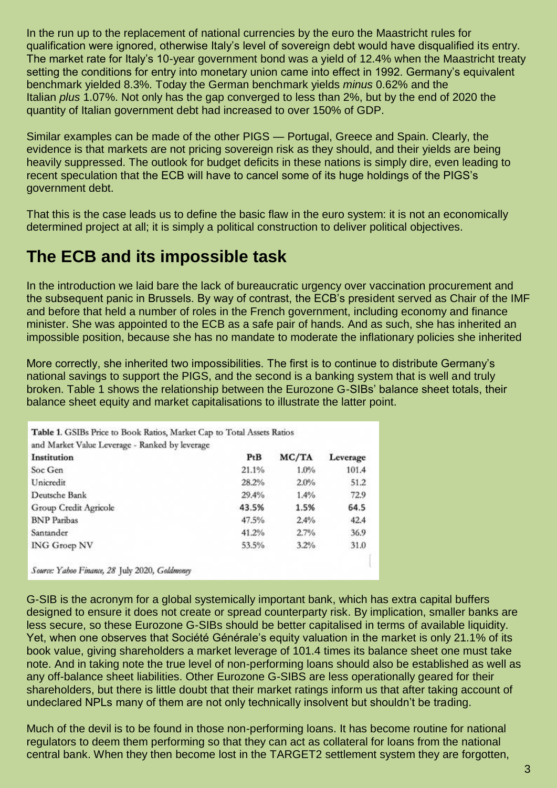In the run up to the replacement of national currencies by the euro the Maastricht rules for qualification were ignored, otherwise Italy's level of sovereign debt would have disqualified its entry. The market rate for Italy's 10-year government bond was a yield of 12.4% when the Maastricht treaty setting the conditions for entry into monetary union came into effect in 1992. Germany's equivalent benchmark yielded 8.3%. Today the German benchmark yields *minus* 0.62% and the Italian *plus* 1.07%. Not only has the gap converged to less than 2%, but by the end of 2020 the quantity of Italian government debt had increased to over 150% of GDP.

Similar examples can be made of the other PIGS — Portugal, Greece and Spain. Clearly, the evidence is that markets are not pricing sovereign risk as they should, and their yields are being heavily suppressed. The outlook for budget deficits in these nations is simply dire, even leading to recent speculation that the ECB will have to cancel some of its huge holdings of the PIGS's government debt.

That this is the case leads us to define the basic flaw in the euro system: it is not an economically determined project at all; it is simply a political construction to deliver political objectives.

### **The ECB and its impossible task**

In the introduction we laid bare the lack of bureaucratic urgency over vaccination procurement and the subsequent panic in Brussels. By way of contrast, the ECB's president served as Chair of the IMF and before that held a number of roles in the French government, including economy and finance minister. She was appointed to the ECB as a safe pair of hands. And as such, she has inherited an impossible position, because she has no mandate to moderate the inflationary policies she inherited

More correctly, she inherited two impossibilities. The first is to continue to distribute Germany's national savings to support the PIGS, and the second is a banking system that is well and truly broken. Table 1 shows the relationship between the Eurozone G-SIBs' balance sheet totals, their balance sheet equity and market capitalisations to illustrate the latter point.

| Institution           | PtB   | MC/TA | Leverage |
|-----------------------|-------|-------|----------|
| Soc Gen               | 21.1% | 1.0%  | 101.4    |
| Unicredit             | 28.2% | 2.0%  | 51.2     |
| Deutsche Bank         | 29.4% | 1.4%  | 72.9     |
| Group Credit Agricole | 43.5% | 1.5%  | 64.5     |
| <b>BNP</b> Paribas    | 47.5% | 2.4%  | 42.4     |
| Santander             | 41.2% | 2.7%  | 36.9     |
| <b>ING Groep NV</b>   | 53.5% | 3.2%  | 31.0     |

G-SIB is the acronym for a global systemically important bank, which has extra capital buffers designed to ensure it does not create or spread counterparty risk. By implication, smaller banks are less secure, so these Eurozone G-SIBs should be better capitalised in terms of available liquidity. Yet, when one observes that Société Générale's equity valuation in the market is only 21.1% of its book value, giving shareholders a market leverage of 101.4 times its balance sheet one must take note. And in taking note the true level of non-performing loans should also be established as well as any off-balance sheet liabilities. Other Eurozone G-SIBS are less operationally geared for their shareholders, but there is little doubt that their market ratings inform us that after taking account of undeclared NPLs many of them are not only technically insolvent but shouldn't be trading.

Much of the devil is to be found in those non-performing loans. It has become routine for national regulators to deem them performing so that they can act as collateral for loans from the national central bank. When they then become lost in the TARGET2 settlement system they are forgotten,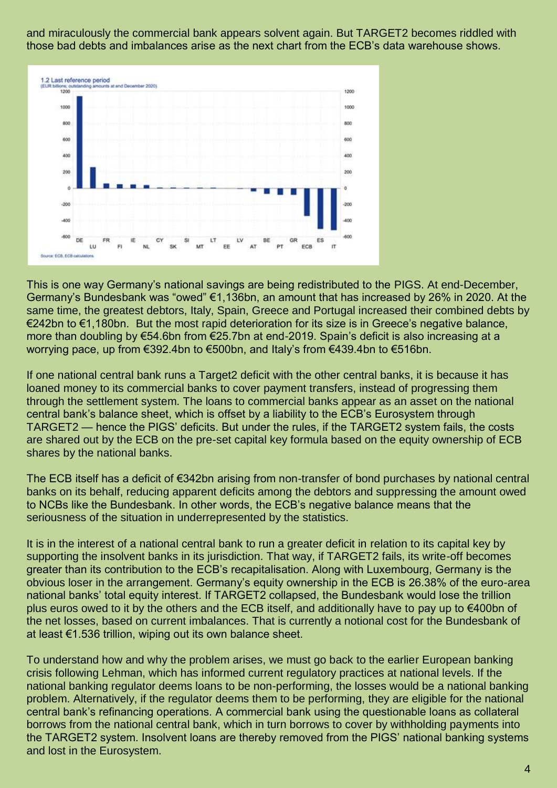and miraculously the commercial bank appears solvent again. But TARGET2 becomes riddled with those bad debts and imbalances arise as the next chart from the ECB's data warehouse shows.



This is one way Germany's national savings are being redistributed to the PIGS. At end-December, Germany's Bundesbank was "owed" €1,136bn, an amount that has increased by 26% in 2020. At the same time, the greatest debtors, Italy, Spain, Greece and Portugal increased their combined debts by €242bn to €1,180bn. But the most rapid deterioration for its size is in Greece's negative balance, more than doubling by €54.6bn from €25.7bn at end-2019. Spain's deficit is also increasing at a worrying pace, up from €392.4bn to €500bn, and Italy's from €439.4bn to €516bn.

If one national central bank runs a Target2 deficit with the other central banks, it is because it has loaned money to its commercial banks to cover payment transfers, instead of progressing them through the settlement system. The loans to commercial banks appear as an asset on the national central bank's balance sheet, which is offset by a liability to the ECB's Eurosystem through TARGET2 — hence the PIGS' deficits. But under the rules, if the TARGET2 system fails, the costs are shared out by the ECB on the pre-set capital key formula based on the equity ownership of ECB shares by the national banks.

The ECB itself has a deficit of €342bn arising from non-transfer of bond purchases by national central banks on its behalf, reducing apparent deficits among the debtors and suppressing the amount owed to NCBs like the Bundesbank. In other words, the ECB's negative balance means that the seriousness of the situation in underrepresented by the statistics.

It is in the interest of a national central bank to run a greater deficit in relation to its capital key by supporting the insolvent banks in its jurisdiction. That way, if TARGET2 fails, its write-off becomes greater than its contribution to the ECB's recapitalisation. Along with Luxembourg, Germany is the obvious loser in the arrangement. Germany's equity ownership in the ECB is 26.38% of the euro-area national banks' total equity interest. If TARGET2 collapsed, the Bundesbank would lose the trillion plus euros owed to it by the others and the ECB itself, and additionally have to pay up to €400bn of the net losses, based on current imbalances. That is currently a notional cost for the Bundesbank of at least €1.536 trillion, wiping out its own balance sheet.

To understand how and why the problem arises, we must go back to the earlier European banking crisis following Lehman, which has informed current regulatory practices at national levels. If the national banking regulator deems loans to be non-performing, the losses would be a national banking problem. Alternatively, if the regulator deems them to be performing, they are eligible for the national central bank's refinancing operations. A commercial bank using the questionable loans as collateral borrows from the national central bank, which in turn borrows to cover by withholding payments into the TARGET2 system. Insolvent loans are thereby removed from the PIGS' national banking systems and lost in the Eurosystem.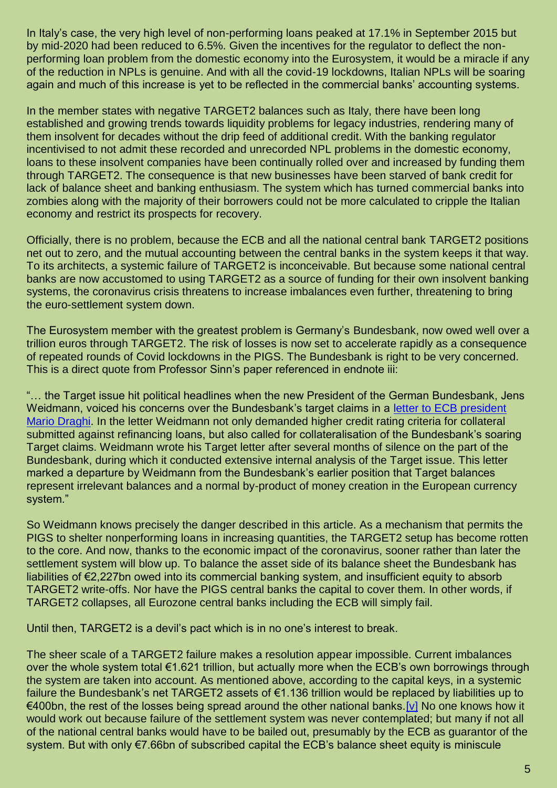In Italy's case, the very high level of non-performing loans peaked at 17.1% in September 2015 but by mid-2020 had been reduced to 6.5%. Given the incentives for the regulator to deflect the nonperforming loan problem from the domestic economy into the Eurosystem, it would be a miracle if any of the reduction in NPLs is genuine. And with all the covid-19 lockdowns, Italian NPLs will be soaring again and much of this increase is yet to be reflected in the commercial banks' accounting systems.

In the member states with negative TARGET2 balances such as Italy, there have been long established and growing trends towards liquidity problems for legacy industries, rendering many of them insolvent for decades without the drip feed of additional credit. With the banking regulator incentivised to not admit these recorded and unrecorded NPL problems in the domestic economy, loans to these insolvent companies have been continually rolled over and increased by funding them through TARGET2. The consequence is that new businesses have been starved of bank credit for lack of balance sheet and banking enthusiasm. The system which has turned commercial banks into zombies along with the majority of their borrowers could not be more calculated to cripple the Italian economy and restrict its prospects for recovery.

Officially, there is no problem, because the ECB and all the national central bank TARGET2 positions net out to zero, and the mutual accounting between the central banks in the system keeps it that way. To its architects, a systemic failure of TARGET2 is inconceivable. But because some national central banks are now accustomed to using TARGET2 as a source of funding for their own insolvent banking systems, the coronavirus crisis threatens to increase imbalances even further, threatening to bring the euro-settlement system down.

The Eurosystem member with the greatest problem is Germany's Bundesbank, now owed well over a trillion euros through TARGET2. The risk of losses is now set to accelerate rapidly as a consequence of repeated rounds of Covid lockdowns in the PIGS. The Bundesbank is right to be very concerned. This is a direct quote from Professor Sinn's paper referenced in endnote iii:

"… the Target issue hit political headlines when the new President of the German Bundesbank, Jens Weidmann, voiced his concerns over the Bundesbank's target claims in a [letter to ECB president](http://www.faz.net/aktuell/wirtschaft/schuldenkrise-die-bundesbankfordert-von-der-ezb-bessere-sicherheiten-11667413.html)  [Mario Draghi.](http://www.faz.net/aktuell/wirtschaft/schuldenkrise-die-bundesbankfordert-von-der-ezb-bessere-sicherheiten-11667413.html) In the letter Weidmann not only demanded higher credit rating criteria for collateral submitted against refinancing loans, but also called for collateralisation of the Bundesbank's soaring Target claims. Weidmann wrote his Target letter after several months of silence on the part of the Bundesbank, during which it conducted extensive internal analysis of the Target issue. This letter marked a departure by Weidmann from the Bundesbank's earlier position that Target balances represent irrelevant balances and a normal by-product of money creation in the European currency system."

So Weidmann knows precisely the danger described in this article. As a mechanism that permits the PIGS to shelter nonperforming loans in increasing quantities, the TARGET2 setup has become rotten to the core. And now, thanks to the economic impact of the coronavirus, sooner rather than later the settlement system will blow up. To balance the asset side of its balance sheet the Bundesbank has liabilities of €2,227bn owed into its commercial banking system, and insufficient equity to absorb TARGET2 write-offs. Nor have the PIGS central banks the capital to cover them. In other words, if TARGET2 collapses, all Eurozone central banks including the ECB will simply fail.

Until then, TARGET2 is a devil's pact which is in no one's interest to break.

The sheer scale of a TARGET2 failure makes a resolution appear impossible. Current imbalances over the whole system total €1.621 trillion, but actually more when the ECB's own borrowings through the system are taken into account. As mentioned above, according to the capital keys, in a systemic failure the Bundesbank's net TARGET2 assets of €1.136 trillion would be replaced by liabilities up to €400bn, the rest of the losses being spread around the other national banks[.\[v\]](https://www.goldmoney.com/research/the-rapidly-failing-eu#_edn5) No one knows how it would work out because failure of the settlement system was never contemplated; but many if not all of the national central banks would have to be bailed out, presumably by the ECB as guarantor of the system. But with only €7.66bn of subscribed capital the ECB's balance sheet equity is miniscule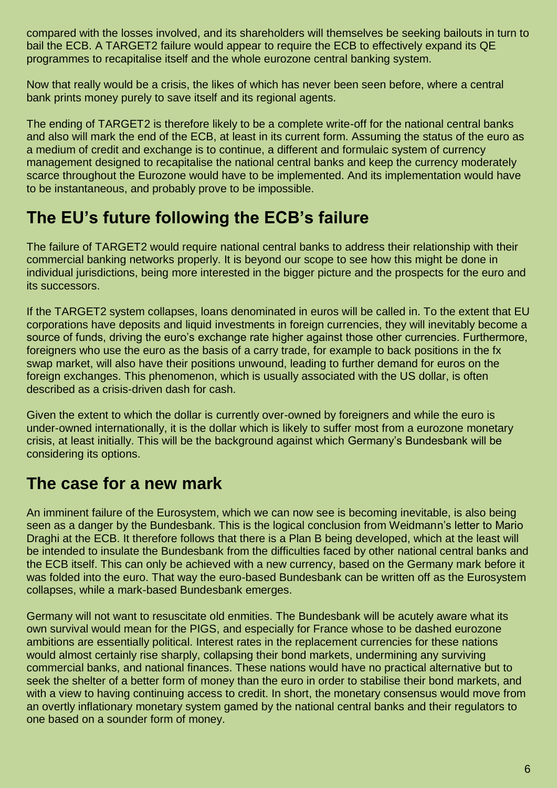compared with the losses involved, and its shareholders will themselves be seeking bailouts in turn to bail the ECB. A TARGET2 failure would appear to require the ECB to effectively expand its QE programmes to recapitalise itself and the whole eurozone central banking system.

Now that really would be a crisis, the likes of which has never been seen before, where a central bank prints money purely to save itself and its regional agents.

The ending of TARGET2 is therefore likely to be a complete write-off for the national central banks and also will mark the end of the ECB, at least in its current form. Assuming the status of the euro as a medium of credit and exchange is to continue, a different and formulaic system of currency management designed to recapitalise the national central banks and keep the currency moderately scarce throughout the Eurozone would have to be implemented. And its implementation would have to be instantaneous, and probably prove to be impossible.

## **The EU's future following the ECB's failure**

The failure of TARGET2 would require national central banks to address their relationship with their commercial banking networks properly. It is beyond our scope to see how this might be done in individual jurisdictions, being more interested in the bigger picture and the prospects for the euro and its successors.

If the TARGET2 system collapses, loans denominated in euros will be called in. To the extent that EU corporations have deposits and liquid investments in foreign currencies, they will inevitably become a source of funds, driving the euro's exchange rate higher against those other currencies. Furthermore, foreigners who use the euro as the basis of a carry trade, for example to back positions in the fx swap market, will also have their positions unwound, leading to further demand for euros on the foreign exchanges. This phenomenon, which is usually associated with the US dollar, is often described as a crisis-driven dash for cash.

Given the extent to which the dollar is currently over-owned by foreigners and while the euro is under-owned internationally, it is the dollar which is likely to suffer most from a eurozone monetary crisis, at least initially. This will be the background against which Germany's Bundesbank will be considering its options.

### **The case for a new mark**

An imminent failure of the Eurosystem, which we can now see is becoming inevitable, is also being seen as a danger by the Bundesbank. This is the logical conclusion from Weidmann's letter to Mario Draghi at the ECB. It therefore follows that there is a Plan B being developed, which at the least will be intended to insulate the Bundesbank from the difficulties faced by other national central banks and the ECB itself. This can only be achieved with a new currency, based on the Germany mark before it was folded into the euro. That way the euro-based Bundesbank can be written off as the Eurosystem collapses, while a mark-based Bundesbank emerges.

Germany will not want to resuscitate old enmities. The Bundesbank will be acutely aware what its own survival would mean for the PIGS, and especially for France whose to be dashed eurozone ambitions are essentially political. Interest rates in the replacement currencies for these nations would almost certainly rise sharply, collapsing their bond markets, undermining any surviving commercial banks, and national finances. These nations would have no practical alternative but to seek the shelter of a better form of money than the euro in order to stabilise their bond markets, and with a view to having continuing access to credit. In short, the monetary consensus would move from an overtly inflationary monetary system gamed by the national central banks and their regulators to one based on a sounder form of money.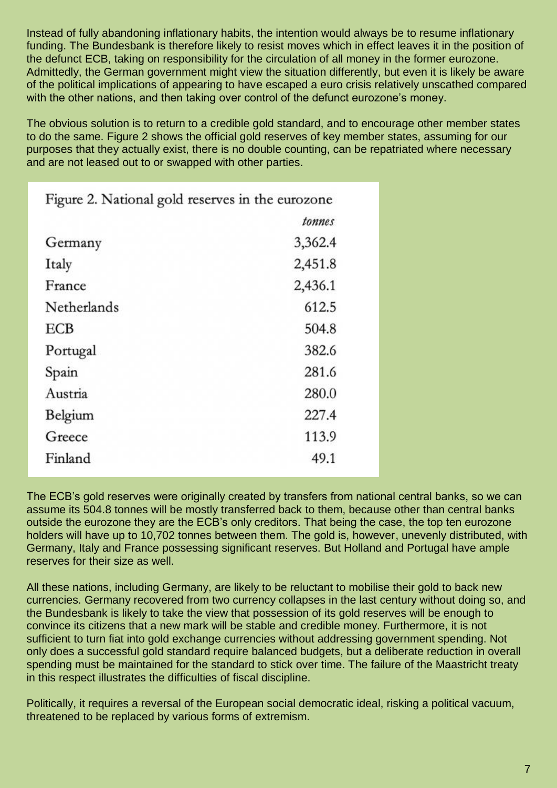Instead of fully abandoning inflationary habits, the intention would always be to resume inflationary funding. The Bundesbank is therefore likely to resist moves which in effect leaves it in the position of the defunct ECB, taking on responsibility for the circulation of all money in the former eurozone. Admittedly, the German government might view the situation differently, but even it is likely be aware of the political implications of appearing to have escaped a euro crisis relatively unscathed compared with the other nations, and then taking over control of the defunct eurozone's money.

The obvious solution is to return to a credible gold standard, and to encourage other member states to do the same. Figure 2 shows the official gold reserves of key member states, assuming for our purposes that they actually exist, there is no double counting, can be repatriated where necessary and are not leased out to or swapped with other parties.

| Figure 2. National gold reserves in the eurozone |         |
|--------------------------------------------------|---------|
|                                                  | tonnes  |
| Germany                                          | 3,362.4 |
| Italy                                            | 2,451.8 |
| France                                           | 2,436.1 |
| Netherlands                                      | 612.5   |
| <b>ECB</b>                                       | 504.8   |
| Portugal                                         | 382.6   |
| Spain                                            | 281.6   |
| Austria                                          | 280.0   |
| Belgium                                          | 227.4   |
| Greece                                           | 113.9   |
| Finland                                          | 49.1    |

The ECB's gold reserves were originally created by transfers from national central banks, so we can assume its 504.8 tonnes will be mostly transferred back to them, because other than central banks outside the eurozone they are the ECB's only creditors. That being the case, the top ten eurozone holders will have up to 10,702 tonnes between them. The gold is, however, unevenly distributed, with Germany, Italy and France possessing significant reserves. But Holland and Portugal have ample reserves for their size as well.

All these nations, including Germany, are likely to be reluctant to mobilise their gold to back new currencies. Germany recovered from two currency collapses in the last century without doing so, and the Bundesbank is likely to take the view that possession of its gold reserves will be enough to convince its citizens that a new mark will be stable and credible money. Furthermore, it is not sufficient to turn fiat into gold exchange currencies without addressing government spending. Not only does a successful gold standard require balanced budgets, but a deliberate reduction in overall spending must be maintained for the standard to stick over time. The failure of the Maastricht treaty in this respect illustrates the difficulties of fiscal discipline.

Politically, it requires a reversal of the European social democratic ideal, risking a political vacuum, threatened to be replaced by various forms of extremism.